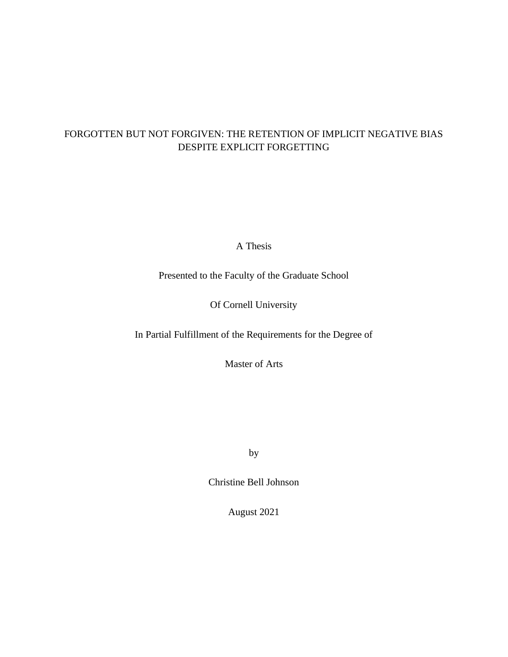# FORGOTTEN BUT NOT FORGIVEN: THE RETENTION OF IMPLICIT NEGATIVE BIAS DESPITE EXPLICIT FORGETTING

A Thesis

Presented to the Faculty of the Graduate School

# Of Cornell University

In Partial Fulfillment of the Requirements for the Degree of

Master of Arts

by

Christine Bell Johnson

August 2021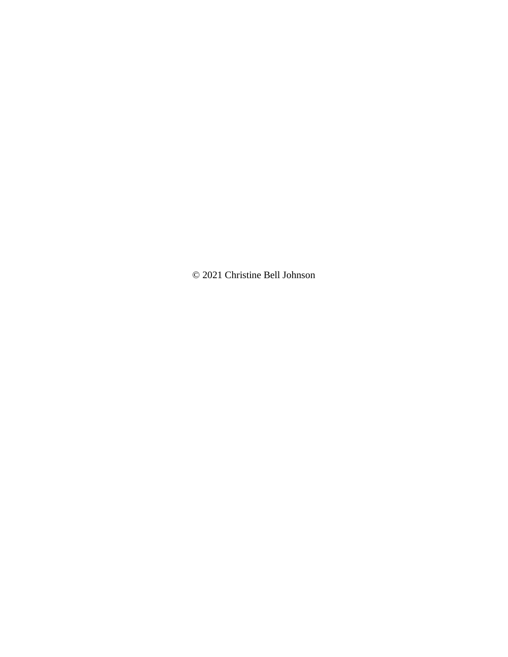© 2021 Christine Bell Johnson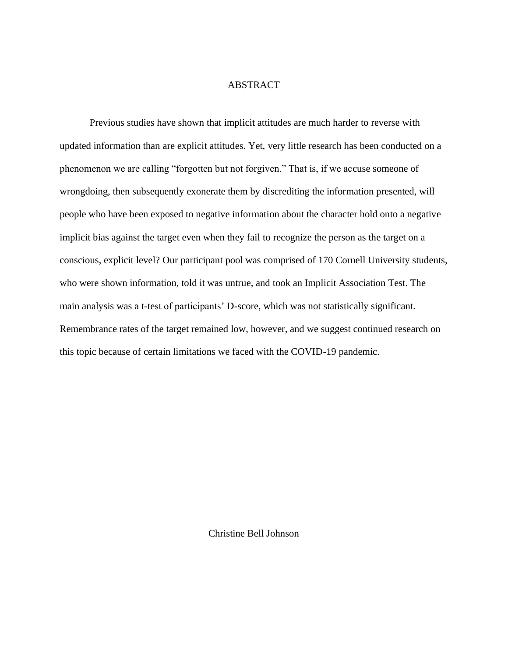## ABSTRACT

Previous studies have shown that implicit attitudes are much harder to reverse with updated information than are explicit attitudes. Yet, very little research has been conducted on a phenomenon we are calling "forgotten but not forgiven." That is, if we accuse someone of wrongdoing, then subsequently exonerate them by discrediting the information presented, will people who have been exposed to negative information about the character hold onto a negative implicit bias against the target even when they fail to recognize the person as the target on a conscious, explicit level? Our participant pool was comprised of 170 Cornell University students, who were shown information, told it was untrue, and took an Implicit Association Test. The main analysis was a t-test of participants' D-score, which was not statistically significant. Remembrance rates of the target remained low, however, and we suggest continued research on this topic because of certain limitations we faced with the COVID-19 pandemic.

Christine Bell Johnson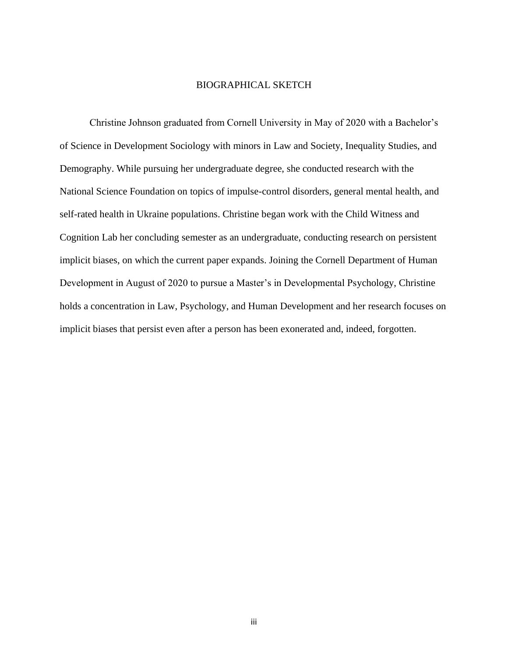### BIOGRAPHICAL SKETCH

Christine Johnson graduated from Cornell University in May of 2020 with a Bachelor's of Science in Development Sociology with minors in Law and Society, Inequality Studies, and Demography. While pursuing her undergraduate degree, she conducted research with the National Science Foundation on topics of impulse-control disorders, general mental health, and self-rated health in Ukraine populations. Christine began work with the Child Witness and Cognition Lab her concluding semester as an undergraduate, conducting research on persistent implicit biases, on which the current paper expands. Joining the Cornell Department of Human Development in August of 2020 to pursue a Master's in Developmental Psychology, Christine holds a concentration in Law, Psychology, and Human Development and her research focuses on implicit biases that persist even after a person has been exonerated and, indeed, forgotten.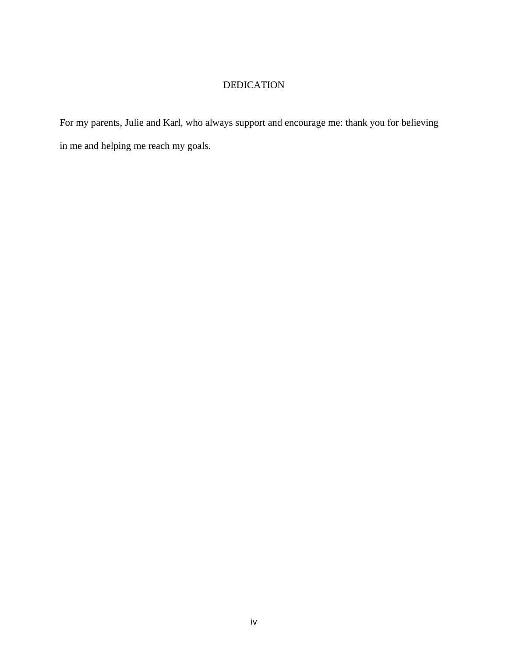# DEDICATION

For my parents, Julie and Karl, who always support and encourage me: thank you for believing in me and helping me reach my goals.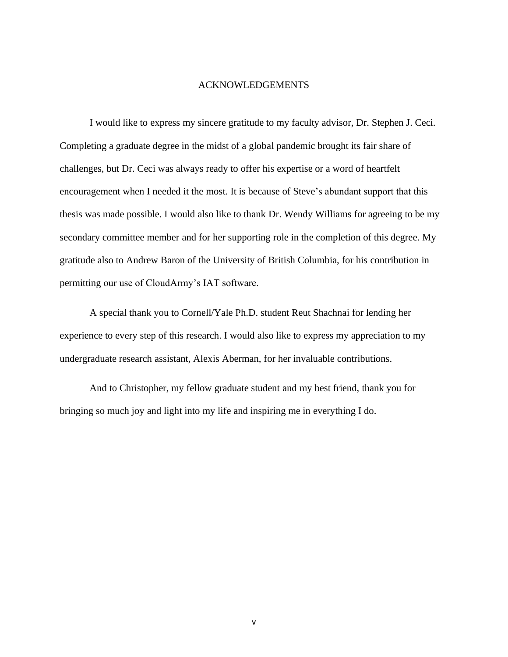### ACKNOWLEDGEMENTS

I would like to express my sincere gratitude to my faculty advisor, Dr. Stephen J. Ceci. Completing a graduate degree in the midst of a global pandemic brought its fair share of challenges, but Dr. Ceci was always ready to offer his expertise or a word of heartfelt encouragement when I needed it the most. It is because of Steve's abundant support that this thesis was made possible. I would also like to thank Dr. Wendy Williams for agreeing to be my secondary committee member and for her supporting role in the completion of this degree. My gratitude also to Andrew Baron of the University of British Columbia, for his contribution in permitting our use of CloudArmy's IAT software.

A special thank you to Cornell/Yale Ph.D. student Reut Shachnai for lending her experience to every step of this research. I would also like to express my appreciation to my undergraduate research assistant, Alexis Aberman, for her invaluable contributions.

And to Christopher, my fellow graduate student and my best friend, thank you for bringing so much joy and light into my life and inspiring me in everything I do.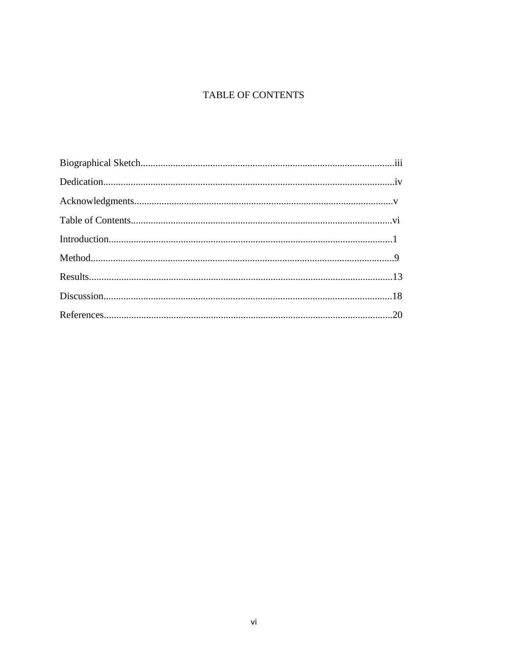# TABLE OF CONTENTS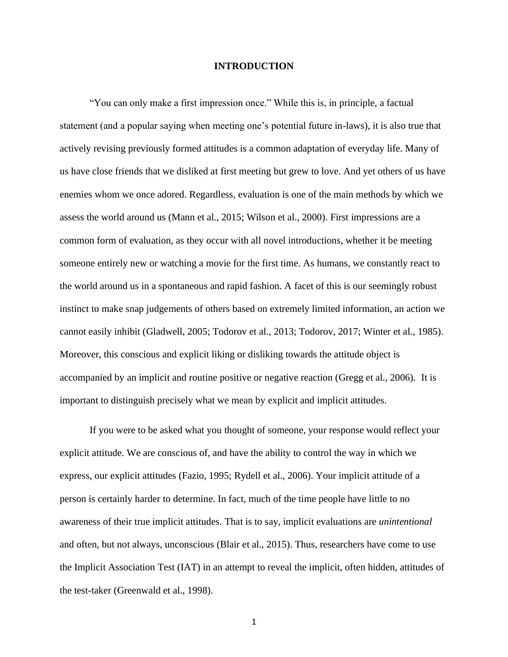## **INTRODUCTION**

"You can only make a first impression once." While this is, in principle, a factual statement (and a popular saying when meeting one's potential future in-laws), it is also true that actively revising previously formed attitudes is a common adaptation of everyday life. Many of us have close friends that we disliked at first meeting but grew to love. And yet others of us have enemies whom we once adored. Regardless, evaluation is one of the main methods by which we assess the world around us (Mann et al., 2015; Wilson et al., 2000). First impressions are a common form of evaluation, as they occur with all novel introductions, whether it be meeting someone entirely new or watching a movie for the first time. As humans, we constantly react to the world around us in a spontaneous and rapid fashion. A facet of this is our seemingly robust instinct to make snap judgements of others based on extremely limited information, an action we cannot easily inhibit (Gladwell, 2005; Todorov et al., 2013; Todorov, 2017; Winter et al., 1985). Moreover, this conscious and explicit liking or disliking towards the attitude object is accompanied by an implicit and routine positive or negative reaction (Gregg et al., 2006). It is important to distinguish precisely what we mean by explicit and implicit attitudes.

If you were to be asked what you thought of someone, your response would reflect your explicit attitude. We are conscious of, and have the ability to control the way in which we express, our explicit attitudes (Fazio, 1995; Rydell et al., 2006). Your implicit attitude of a person is certainly harder to determine. In fact, much of the time people have little to no awareness of their true implicit attitudes. That is to say, implicit evaluations are *unintentional*  and often, but not always, unconscious (Blair et al., 2015). Thus, researchers have come to use the Implicit Association Test (IAT) in an attempt to reveal the implicit, often hidden, attitudes of the test-taker (Greenwald et al., 1998).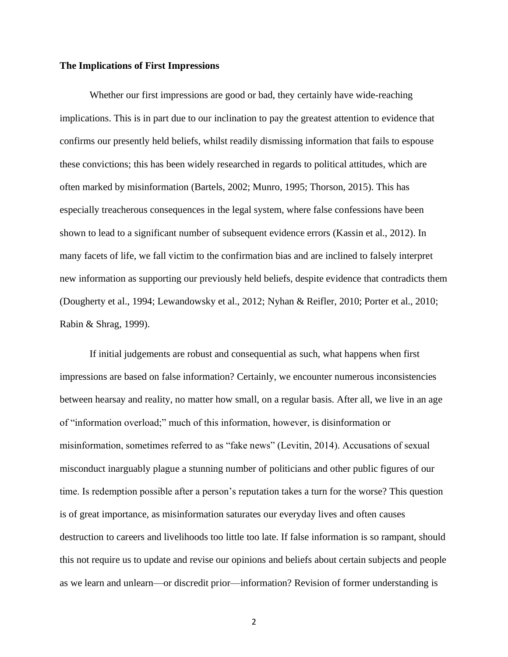## **The Implications of First Impressions**

Whether our first impressions are good or bad, they certainly have wide-reaching implications. This is in part due to our inclination to pay the greatest attention to evidence that confirms our presently held beliefs, whilst readily dismissing information that fails to espouse these convictions; this has been widely researched in regards to political attitudes, which are often marked by misinformation (Bartels, 2002; Munro, 1995; Thorson, 2015). This has especially treacherous consequences in the legal system, where false confessions have been shown to lead to a significant number of subsequent evidence errors (Kassin et al., 2012). In many facets of life, we fall victim to the confirmation bias and are inclined to falsely interpret new information as supporting our previously held beliefs, despite evidence that contradicts them (Dougherty et al., 1994; Lewandowsky et al., 2012; Nyhan & Reifler, 2010; Porter et al., 2010; Rabin & Shrag, 1999).

If initial judgements are robust and consequential as such, what happens when first impressions are based on false information? Certainly, we encounter numerous inconsistencies between hearsay and reality, no matter how small, on a regular basis. After all, we live in an age of "information overload;" much of this information, however, is disinformation or misinformation, sometimes referred to as "fake news" (Levitin, 2014). Accusations of sexual misconduct inarguably plague a stunning number of politicians and other public figures of our time. Is redemption possible after a person's reputation takes a turn for the worse? This question is of great importance, as misinformation saturates our everyday lives and often causes destruction to careers and livelihoods too little too late. If false information is so rampant, should this not require us to update and revise our opinions and beliefs about certain subjects and people as we learn and unlearn—or discredit prior—information? Revision of former understanding is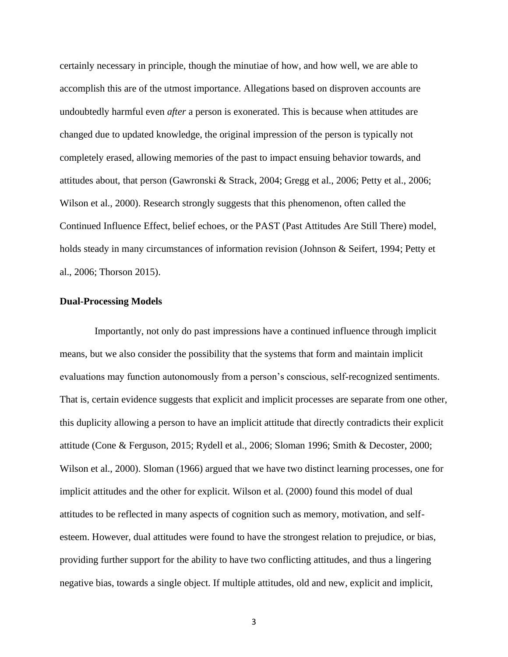certainly necessary in principle, though the minutiae of how, and how well, we are able to accomplish this are of the utmost importance. Allegations based on disproven accounts are undoubtedly harmful even *after* a person is exonerated. This is because when attitudes are changed due to updated knowledge, the original impression of the person is typically not completely erased, allowing memories of the past to impact ensuing behavior towards, and attitudes about, that person (Gawronski & Strack, 2004; Gregg et al., 2006; Petty et al., 2006; Wilson et al., 2000). Research strongly suggests that this phenomenon, often called the Continued Influence Effect, belief echoes, or the PAST (Past Attitudes Are Still There) model, holds steady in many circumstances of information revision (Johnson & Seifert, 1994; Petty et al., 2006; Thorson 2015).

## **Dual-Processing Models**

 Importantly, not only do past impressions have a continued influence through implicit means, but we also consider the possibility that the systems that form and maintain implicit evaluations may function autonomously from a person's conscious, self-recognized sentiments. That is, certain evidence suggests that explicit and implicit processes are separate from one other, this duplicity allowing a person to have an implicit attitude that directly contradicts their explicit attitude (Cone & Ferguson, 2015; Rydell et al., 2006; Sloman 1996; Smith & Decoster, 2000; Wilson et al., 2000). Sloman (1966) argued that we have two distinct learning processes, one for implicit attitudes and the other for explicit. Wilson et al. (2000) found this model of dual attitudes to be reflected in many aspects of cognition such as memory, motivation, and selfesteem. However, dual attitudes were found to have the strongest relation to prejudice, or bias, providing further support for the ability to have two conflicting attitudes, and thus a lingering negative bias, towards a single object. If multiple attitudes, old and new, explicit and implicit,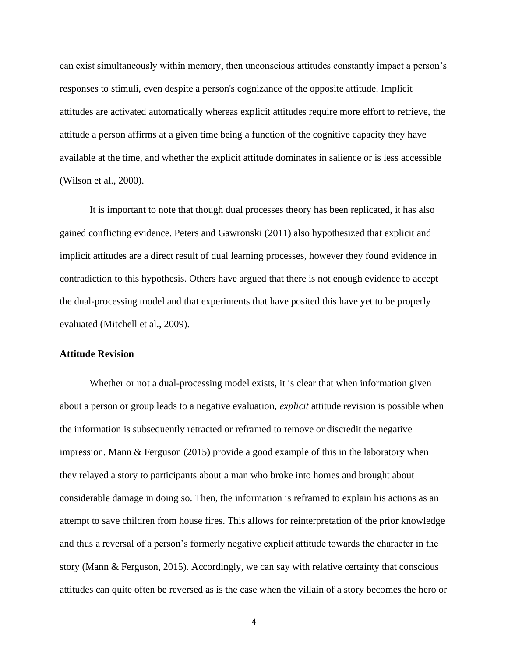can exist simultaneously within memory, then unconscious attitudes constantly impact a person's responses to stimuli, even despite a person's cognizance of the opposite attitude. Implicit attitudes are activated automatically whereas explicit attitudes require more effort to retrieve, the attitude a person affirms at a given time being a function of the cognitive capacity they have available at the time, and whether the explicit attitude dominates in salience or is less accessible (Wilson et al., 2000).

It is important to note that though dual processes theory has been replicated, it has also gained conflicting evidence. Peters and Gawronski (2011) also hypothesized that explicit and implicit attitudes are a direct result of dual learning processes, however they found evidence in contradiction to this hypothesis. Others have argued that there is not enough evidence to accept the dual-processing model and that experiments that have posited this have yet to be properly evaluated (Mitchell et al., 2009).

## **Attitude Revision**

Whether or not a dual-processing model exists, it is clear that when information given about a person or group leads to a negative evaluation, *explicit* attitude revision is possible when the information is subsequently retracted or reframed to remove or discredit the negative impression. Mann & Ferguson (2015) provide a good example of this in the laboratory when they relayed a story to participants about a man who broke into homes and brought about considerable damage in doing so. Then, the information is reframed to explain his actions as an attempt to save children from house fires. This allows for reinterpretation of the prior knowledge and thus a reversal of a person's formerly negative explicit attitude towards the character in the story (Mann & Ferguson, 2015). Accordingly, we can say with relative certainty that conscious attitudes can quite often be reversed as is the case when the villain of a story becomes the hero or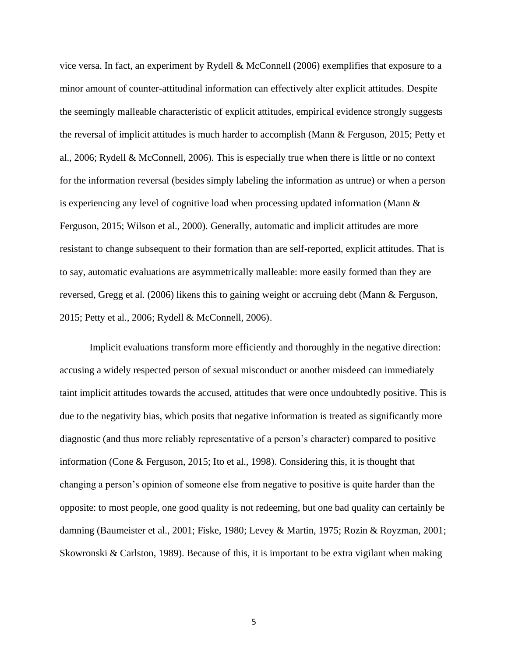vice versa. In fact, an experiment by Rydell & McConnell (2006) exemplifies that exposure to a minor amount of counter-attitudinal information can effectively alter explicit attitudes. Despite the seemingly malleable characteristic of explicit attitudes, empirical evidence strongly suggests the reversal of implicit attitudes is much harder to accomplish (Mann & Ferguson, 2015; Petty et al., 2006; Rydell & McConnell, 2006). This is especially true when there is little or no context for the information reversal (besides simply labeling the information as untrue) or when a person is experiencing any level of cognitive load when processing updated information (Mann  $\&$ Ferguson, 2015; Wilson et al., 2000). Generally, automatic and implicit attitudes are more resistant to change subsequent to their formation than are self-reported, explicit attitudes. That is to say, automatic evaluations are asymmetrically malleable: more easily formed than they are reversed, Gregg et al. (2006) likens this to gaining weight or accruing debt (Mann & Ferguson, 2015; Petty et al., 2006; Rydell & McConnell, 2006).

Implicit evaluations transform more efficiently and thoroughly in the negative direction: accusing a widely respected person of sexual misconduct or another misdeed can immediately taint implicit attitudes towards the accused, attitudes that were once undoubtedly positive. This is due to the negativity bias, which posits that negative information is treated as significantly more diagnostic (and thus more reliably representative of a person's character) compared to positive information (Cone & Ferguson, 2015; Ito et al., 1998). Considering this, it is thought that changing a person's opinion of someone else from negative to positive is quite harder than the opposite: to most people, one good quality is not redeeming, but one bad quality can certainly be damning (Baumeister et al., 2001; Fiske, 1980; Levey & Martin, 1975; Rozin & Royzman, 2001; Skowronski & Carlston, 1989). Because of this, it is important to be extra vigilant when making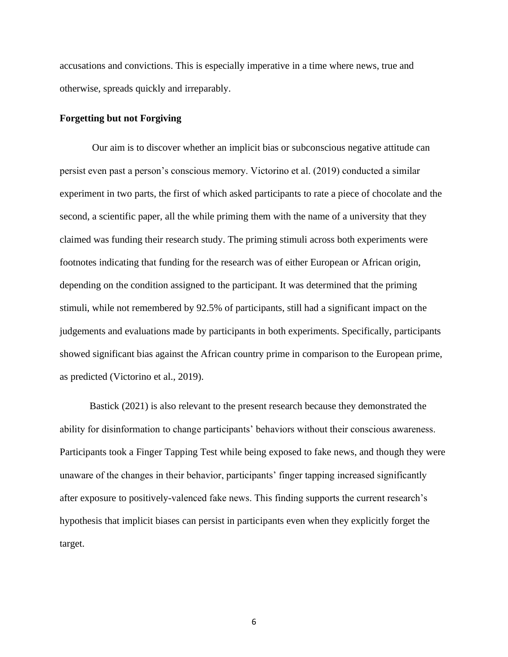accusations and convictions. This is especially imperative in a time where news, true and otherwise, spreads quickly and irreparably.

## **Forgetting but not Forgiving**

Our aim is to discover whether an implicit bias or subconscious negative attitude can persist even past a person's conscious memory. Victorino et al. (2019) conducted a similar experiment in two parts, the first of which asked participants to rate a piece of chocolate and the second, a scientific paper, all the while priming them with the name of a university that they claimed was funding their research study. The priming stimuli across both experiments were footnotes indicating that funding for the research was of either European or African origin, depending on the condition assigned to the participant. It was determined that the priming stimuli, while not remembered by 92.5% of participants, still had a significant impact on the judgements and evaluations made by participants in both experiments. Specifically, participants showed significant bias against the African country prime in comparison to the European prime, as predicted (Victorino et al., 2019).

Bastick (2021) is also relevant to the present research because they demonstrated the ability for disinformation to change participants' behaviors without their conscious awareness. Participants took a Finger Tapping Test while being exposed to fake news, and though they were unaware of the changes in their behavior, participants' finger tapping increased significantly after exposure to positively-valenced fake news. This finding supports the current research's hypothesis that implicit biases can persist in participants even when they explicitly forget the target.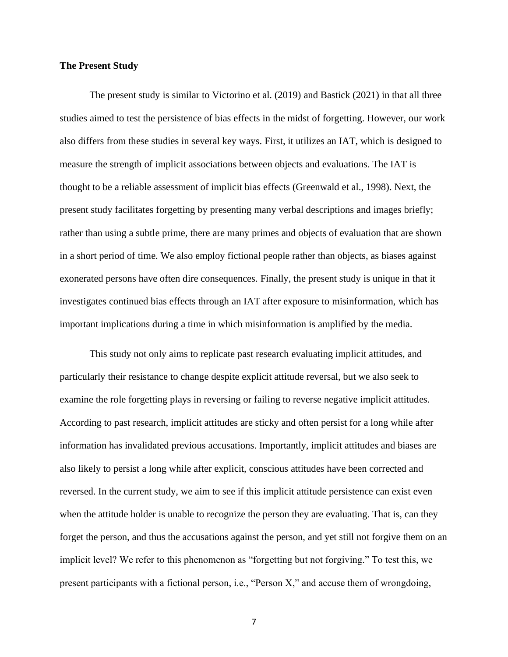## **The Present Study**

The present study is similar to Victorino et al. (2019) and Bastick (2021) in that all three studies aimed to test the persistence of bias effects in the midst of forgetting. However, our work also differs from these studies in several key ways. First, it utilizes an IAT, which is designed to measure the strength of implicit associations between objects and evaluations. The IAT is thought to be a reliable assessment of implicit bias effects (Greenwald et al., 1998). Next, the present study facilitates forgetting by presenting many verbal descriptions and images briefly; rather than using a subtle prime, there are many primes and objects of evaluation that are shown in a short period of time. We also employ fictional people rather than objects, as biases against exonerated persons have often dire consequences. Finally, the present study is unique in that it investigates continued bias effects through an IAT after exposure to misinformation, which has important implications during a time in which misinformation is amplified by the media.

This study not only aims to replicate past research evaluating implicit attitudes, and particularly their resistance to change despite explicit attitude reversal, but we also seek to examine the role forgetting plays in reversing or failing to reverse negative implicit attitudes. According to past research, implicit attitudes are sticky and often persist for a long while after information has invalidated previous accusations. Importantly, implicit attitudes and biases are also likely to persist a long while after explicit, conscious attitudes have been corrected and reversed. In the current study, we aim to see if this implicit attitude persistence can exist even when the attitude holder is unable to recognize the person they are evaluating. That is, can they forget the person, and thus the accusations against the person, and yet still not forgive them on an implicit level? We refer to this phenomenon as "forgetting but not forgiving." To test this, we present participants with a fictional person, i.e., "Person X," and accuse them of wrongdoing,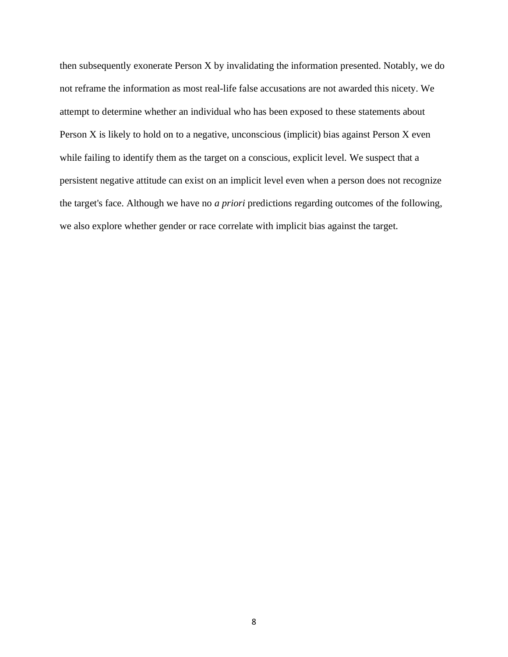then subsequently exonerate Person X by invalidating the information presented. Notably, we do not reframe the information as most real-life false accusations are not awarded this nicety. We attempt to determine whether an individual who has been exposed to these statements about Person X is likely to hold on to a negative, unconscious (implicit) bias against Person X even while failing to identify them as the target on a conscious, explicit level. We suspect that a persistent negative attitude can exist on an implicit level even when a person does not recognize the target's face. Although we have no *a priori* predictions regarding outcomes of the following, we also explore whether gender or race correlate with implicit bias against the target.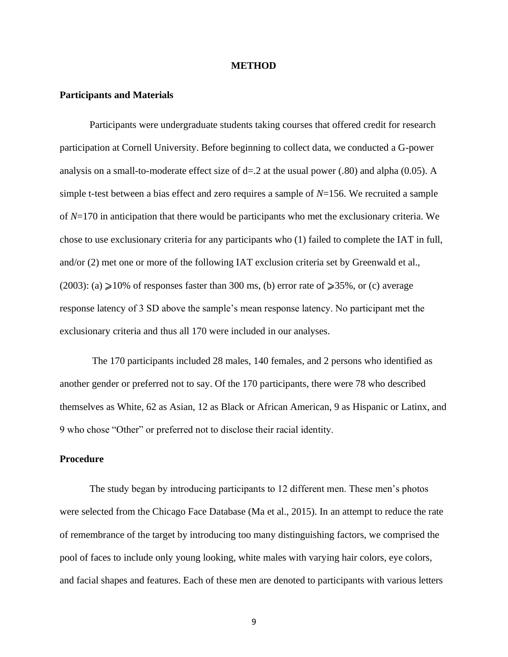#### **METHOD**

### **Participants and Materials**

Participants were undergraduate students taking courses that offered credit for research participation at Cornell University. Before beginning to collect data, we conducted a G-power analysis on a small-to-moderate effect size of  $d=2$  at the usual power (.80) and alpha (0.05). A simple t-test between a bias effect and zero requires a sample of *N*=156. We recruited a sample of *N*=170 in anticipation that there would be participants who met the exclusionary criteria. We chose to use exclusionary criteria for any participants who (1) failed to complete the IAT in full, and/or (2) met one or more of the following IAT exclusion criteria set by Greenwald et al., (2003): (a)  $\geq 10\%$  of responses faster than 300 ms, (b) error rate of  $\geq 35\%$ , or (c) average response latency of 3 SD above the sample's mean response latency. No participant met the exclusionary criteria and thus all 170 were included in our analyses.

The 170 participants included 28 males, 140 females, and 2 persons who identified as another gender or preferred not to say. Of the 170 participants, there were 78 who described themselves as White, 62 as Asian, 12 as Black or African American, 9 as Hispanic or Latinx, and 9 who chose "Other" or preferred not to disclose their racial identity.

# **Procedure**

The study began by introducing participants to 12 different men. These men's photos were selected from the Chicago Face Database (Ma et al., 2015). In an attempt to reduce the rate of remembrance of the target by introducing too many distinguishing factors, we comprised the pool of faces to include only young looking, white males with varying hair colors, eye colors, and facial shapes and features. Each of these men are denoted to participants with various letters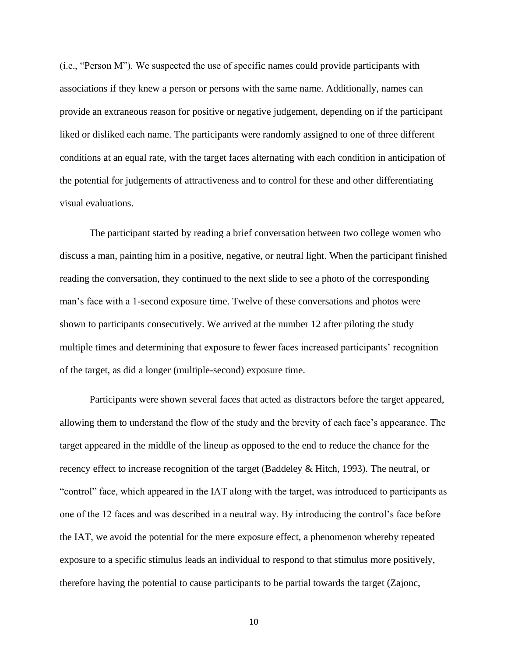(i.e., "Person M"). We suspected the use of specific names could provide participants with associations if they knew a person or persons with the same name. Additionally, names can provide an extraneous reason for positive or negative judgement, depending on if the participant liked or disliked each name. The participants were randomly assigned to one of three different conditions at an equal rate, with the target faces alternating with each condition in anticipation of the potential for judgements of attractiveness and to control for these and other differentiating visual evaluations.

The participant started by reading a brief conversation between two college women who discuss a man, painting him in a positive, negative, or neutral light. When the participant finished reading the conversation, they continued to the next slide to see a photo of the corresponding man's face with a 1-second exposure time. Twelve of these conversations and photos were shown to participants consecutively. We arrived at the number 12 after piloting the study multiple times and determining that exposure to fewer faces increased participants' recognition of the target, as did a longer (multiple-second) exposure time.

Participants were shown several faces that acted as distractors before the target appeared, allowing them to understand the flow of the study and the brevity of each face's appearance. The target appeared in the middle of the lineup as opposed to the end to reduce the chance for the recency effect to increase recognition of the target (Baddeley & Hitch, 1993). The neutral, or "control" face, which appeared in the IAT along with the target, was introduced to participants as one of the 12 faces and was described in a neutral way. By introducing the control's face before the IAT, we avoid the potential for the mere exposure effect, a phenomenon whereby repeated exposure to a specific stimulus leads an individual to respond to that stimulus more positively, therefore having the potential to cause participants to be partial towards the target (Zajonc,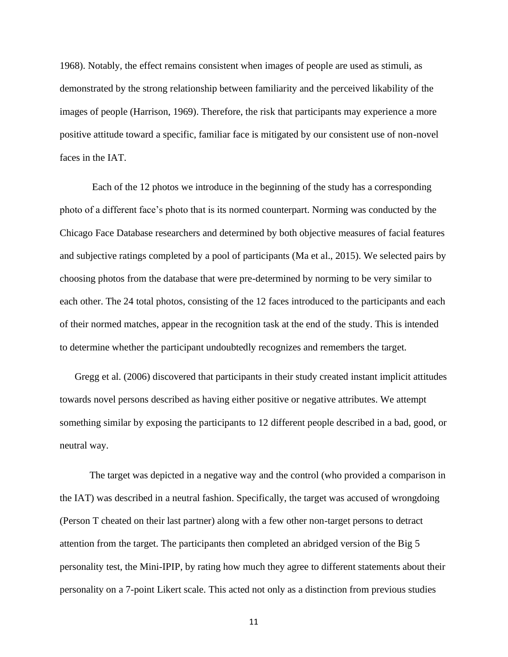1968). Notably, the effect remains consistent when images of people are used as stimuli, as demonstrated by the strong relationship between familiarity and the perceived likability of the images of people (Harrison, 1969). Therefore, the risk that participants may experience a more positive attitude toward a specific, familiar face is mitigated by our consistent use of non-novel faces in the IAT.

Each of the 12 photos we introduce in the beginning of the study has a corresponding photo of a different face's photo that is its normed counterpart. Norming was conducted by the Chicago Face Database researchers and determined by both objective measures of facial features and subjective ratings completed by a pool of participants (Ma et al., 2015). We selected pairs by choosing photos from the database that were pre-determined by norming to be very similar to each other. The 24 total photos, consisting of the 12 faces introduced to the participants and each of their normed matches, appear in the recognition task at the end of the study. This is intended to determine whether the participant undoubtedly recognizes and remembers the target.

Gregg et al. (2006) discovered that participants in their study created instant implicit attitudes towards novel persons described as having either positive or negative attributes. We attempt something similar by exposing the participants to 12 different people described in a bad, good, or neutral way.

The target was depicted in a negative way and the control (who provided a comparison in the IAT) was described in a neutral fashion. Specifically, the target was accused of wrongdoing (Person T cheated on their last partner) along with a few other non-target persons to detract attention from the target. The participants then completed an abridged version of the Big 5 personality test, the Mini-IPIP, by rating how much they agree to different statements about their personality on a 7-point Likert scale. This acted not only as a distinction from previous studies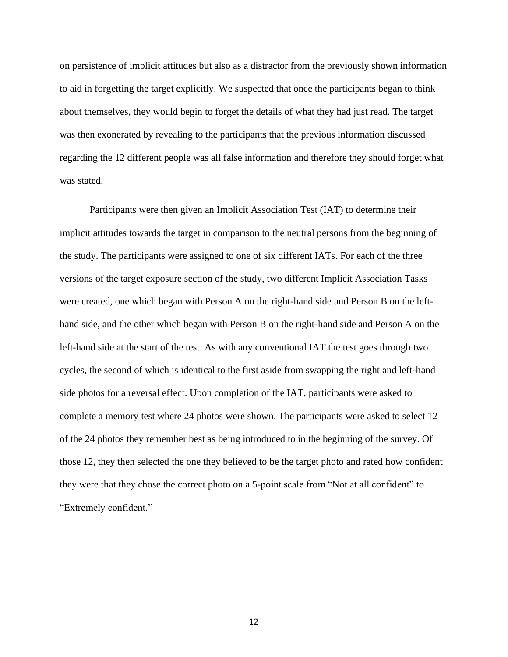on persistence of implicit attitudes but also as a distractor from the previously shown information to aid in forgetting the target explicitly. We suspected that once the participants began to think about themselves, they would begin to forget the details of what they had just read. The target was then exonerated by revealing to the participants that the previous information discussed regarding the 12 different people was all false information and therefore they should forget what was stated.

Participants were then given an Implicit Association Test (IAT) to determine their implicit attitudes towards the target in comparison to the neutral persons from the beginning of the study. The participants were assigned to one of six different IATs. For each of the three versions of the target exposure section of the study, two different Implicit Association Tasks were created, one which began with Person A on the right-hand side and Person B on the lefthand side, and the other which began with Person B on the right-hand side and Person A on the left-hand side at the start of the test. As with any conventional IAT the test goes through two cycles, the second of which is identical to the first aside from swapping the right and left-hand side photos for a reversal effect. Upon completion of the IAT, participants were asked to complete a memory test where 24 photos were shown. The participants were asked to select 12 of the 24 photos they remember best as being introduced to in the beginning of the survey. Of those 12, they then selected the one they believed to be the target photo and rated how confident they were that they chose the correct photo on a 5-point scale from "Not at all confident" to "Extremely confident."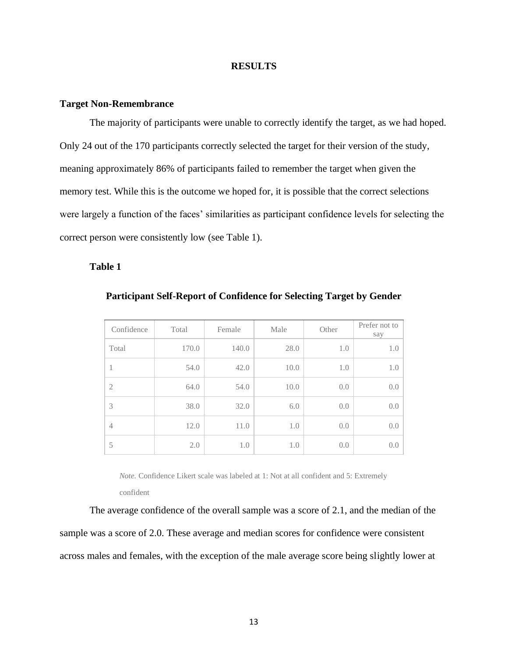## **RESULTS**

#### **Target Non-Remembrance**

The majority of participants were unable to correctly identify the target, as we had hoped. Only 24 out of the 170 participants correctly selected the target for their version of the study, meaning approximately 86% of participants failed to remember the target when given the memory test. While this is the outcome we hoped for, it is possible that the correct selections were largely a function of the faces' similarities as participant confidence levels for selecting the correct person were consistently low (see Table 1).

# **Table 1**

| Confidence     | Total | Female | Male | Other | Prefer not to<br>say |
|----------------|-------|--------|------|-------|----------------------|
| Total          | 170.0 | 140.0  | 28.0 | 1.0   | 1.0                  |
| 1              | 54.0  | 42.0   | 10.0 | 1.0   | 1.0                  |
| $\overline{2}$ | 64.0  | 54.0   | 10.0 | 0.0   | 0.0                  |
| 3              | 38.0  | 32.0   | 6.0  | 0.0   | 0.0                  |
| 4              | 12.0  | 11.0   | 1.0  | 0.0   | 0.0                  |
| 5              | 2.0   | 1.0    | 1.0  | 0.0   | 0.0                  |

**Participant Self-Report of Confidence for Selecting Target by Gender**

*Note.* Confidence Likert scale was labeled at 1: Not at all confident and 5: Extremely

confident

The average confidence of the overall sample was a score of 2.1, and the median of the sample was a score of 2.0. These average and median scores for confidence were consistent across males and females, with the exception of the male average score being slightly lower at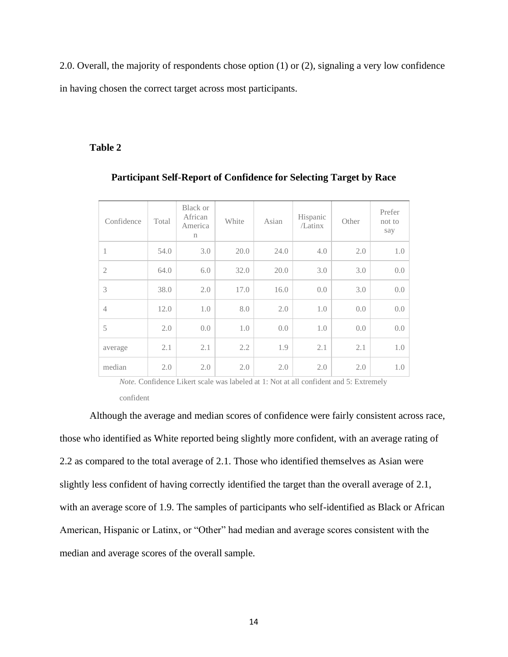2.0. Overall, the majority of respondents chose option (1) or (2), signaling a very low confidence in having chosen the correct target across most participants.

# **Table 2**

| Confidence     | Total | <b>Black or</b><br>African<br>America<br>$\mathbf n$ | White | Asian | Hispanic<br>/Latinx | Other | Prefer<br>not to<br>say |
|----------------|-------|------------------------------------------------------|-------|-------|---------------------|-------|-------------------------|
| 1              | 54.0  | 3.0                                                  | 20.0  | 24.0  | 4.0                 | 2.0   | 1.0                     |
| $\overline{2}$ | 64.0  | 6.0                                                  | 32.0  | 20.0  | 3.0                 | 3.0   | 0.0                     |
| 3              | 38.0  | 2.0                                                  | 17.0  | 16.0  | 0.0                 | 3.0   | 0.0                     |
| $\overline{4}$ | 12.0  | 1.0                                                  | 8.0   | 2.0   | 1.0                 | 0.0   | 0.0                     |
| 5              | 2.0   | 0.0                                                  | 1.0   | 0.0   | 1.0                 | 0.0   | 0.0                     |
| average        | 2.1   | 2.1                                                  | 2.2   | 1.9   | 2.1                 | 2.1   | 1.0                     |
| median         | 2.0   | 2.0                                                  | 2.0   | 2.0   | 2.0                 | 2.0   | 1.0                     |

# **Participant Self-Report of Confidence for Selecting Target by Race**

*Note.* Confidence Likert scale was labeled at 1: Not at all confident and 5: Extremely confident

Although the average and median scores of confidence were fairly consistent across race, those who identified as White reported being slightly more confident, with an average rating of 2.2 as compared to the total average of 2.1. Those who identified themselves as Asian were slightly less confident of having correctly identified the target than the overall average of 2.1, with an average score of 1.9. The samples of participants who self-identified as Black or African American, Hispanic or Latinx, or "Other" had median and average scores consistent with the median and average scores of the overall sample.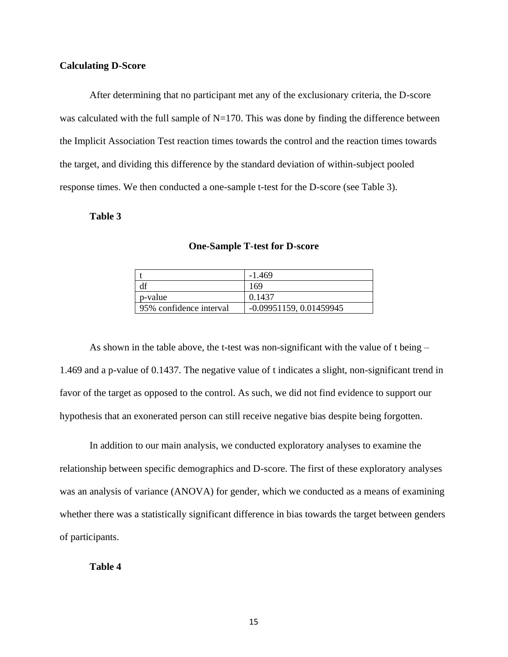## **Calculating D-Score**

After determining that no participant met any of the exclusionary criteria, the D-score was calculated with the full sample of  $N=170$ . This was done by finding the difference between the Implicit Association Test reaction times towards the control and the reaction times towards the target, and dividing this difference by the standard deviation of within-subject pooled response times. We then conducted a one-sample t-test for the D-score (see Table 3).

# **Table 3**

|                         | $-1.469$                  |
|-------------------------|---------------------------|
|                         | 169                       |
| p-value                 | 0.1437                    |
| 95% confidence interval | $-0.09951159, 0.01459945$ |

**One-Sample T-test for D-score**

As shown in the table above, the t-test was non-significant with the value of t being – 1.469 and a p-value of 0.1437. The negative value of t indicates a slight, non-significant trend in favor of the target as opposed to the control. As such, we did not find evidence to support our hypothesis that an exonerated person can still receive negative bias despite being forgotten.

In addition to our main analysis, we conducted exploratory analyses to examine the relationship between specific demographics and D-score. The first of these exploratory analyses was an analysis of variance (ANOVA) for gender, which we conducted as a means of examining whether there was a statistically significant difference in bias towards the target between genders of participants.

# **Table 4**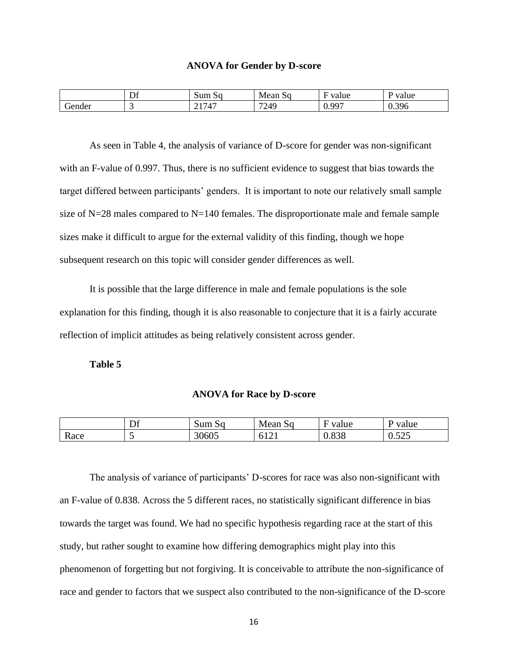#### **ANOVA for Gender by D-score**

|        | $\mathbf{r}$<br>Dt | ∽<br>Sum Sq                                    | Mean<br>νU | value<br>.              | –<br>value<br>. .<br>. |
|--------|--------------------|------------------------------------------------|------------|-------------------------|------------------------|
| Gender | . .                | 1717<br>$\overline{\phantom{a}}$<br><u>_ 1</u> | 7249       | $\alpha$<br>v. <i>,</i> | 396<br>υ.υ<br>ノマ       |

As seen in Table 4, the analysis of variance of D-score for gender was non-significant with an F-value of 0.997. Thus, there is no sufficient evidence to suggest that bias towards the target differed between participants' genders. It is important to note our relatively small sample size of  $N=28$  males compared to  $N=140$  females. The disproportionate male and female sample sizes make it difficult to argue for the external validity of this finding, though we hope subsequent research on this topic will consider gender differences as well.

It is possible that the large difference in male and female populations is the sole explanation for this finding, though it is also reasonable to conjecture that it is a fairly accurate reflection of implicit attitudes as being relatively consistent across gender.

**Table 5**

#### **ANOVA for Race by D-score**

|      | ~ ^<br>◡ | Sum Sq | Mean<br>.SG                            | value | value<br>. .                  |
|------|----------|--------|----------------------------------------|-------|-------------------------------|
| Race | . .      | 30605  | $-101$<br>∽<br>$\bot \rightarrow \bot$ | 0.838 | $\sim$ $\sim$ $\sim$<br>∪.J∠J |

The analysis of variance of participants' D-scores for race was also non-significant with an F-value of 0.838. Across the 5 different races, no statistically significant difference in bias towards the target was found. We had no specific hypothesis regarding race at the start of this study, but rather sought to examine how differing demographics might play into this phenomenon of forgetting but not forgiving. It is conceivable to attribute the non-significance of race and gender to factors that we suspect also contributed to the non-significance of the D-score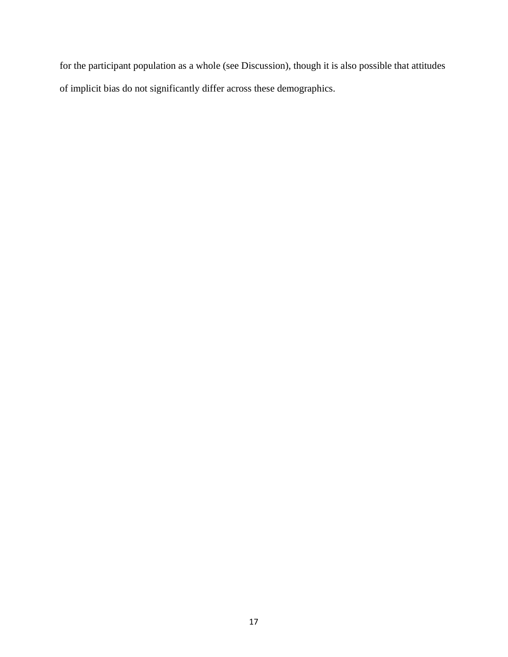for the participant population as a whole (see Discussion), though it is also possible that attitudes of implicit bias do not significantly differ across these demographics.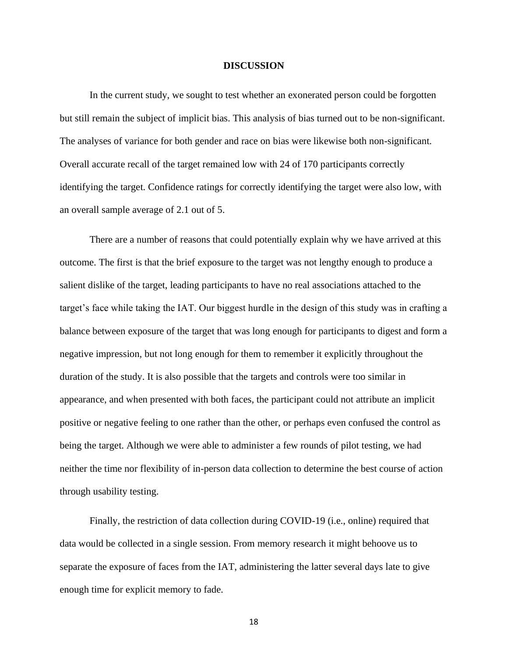### **DISCUSSION**

In the current study, we sought to test whether an exonerated person could be forgotten but still remain the subject of implicit bias. This analysis of bias turned out to be non-significant. The analyses of variance for both gender and race on bias were likewise both non-significant. Overall accurate recall of the target remained low with 24 of 170 participants correctly identifying the target. Confidence ratings for correctly identifying the target were also low, with an overall sample average of 2.1 out of 5.

There are a number of reasons that could potentially explain why we have arrived at this outcome. The first is that the brief exposure to the target was not lengthy enough to produce a salient dislike of the target, leading participants to have no real associations attached to the target's face while taking the IAT. Our biggest hurdle in the design of this study was in crafting a balance between exposure of the target that was long enough for participants to digest and form a negative impression, but not long enough for them to remember it explicitly throughout the duration of the study. It is also possible that the targets and controls were too similar in appearance, and when presented with both faces, the participant could not attribute an implicit positive or negative feeling to one rather than the other, or perhaps even confused the control as being the target. Although we were able to administer a few rounds of pilot testing, we had neither the time nor flexibility of in-person data collection to determine the best course of action through usability testing.

Finally, the restriction of data collection during COVID-19 (i.e., online) required that data would be collected in a single session. From memory research it might behoove us to separate the exposure of faces from the IAT, administering the latter several days late to give enough time for explicit memory to fade.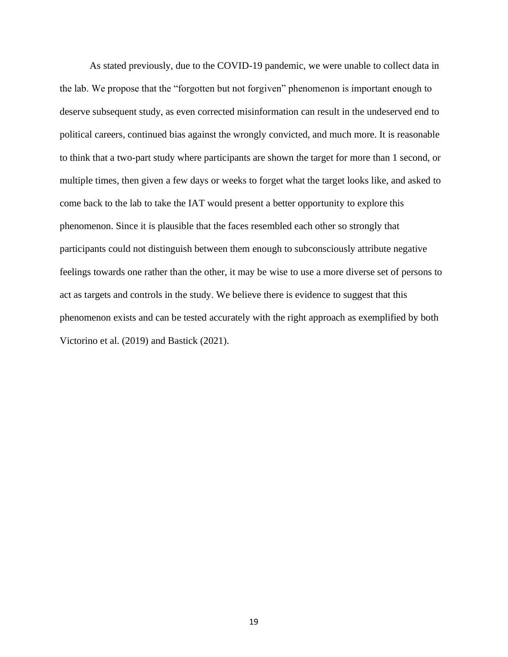As stated previously, due to the COVID-19 pandemic, we were unable to collect data in the lab. We propose that the "forgotten but not forgiven" phenomenon is important enough to deserve subsequent study, as even corrected misinformation can result in the undeserved end to political careers, continued bias against the wrongly convicted, and much more. It is reasonable to think that a two-part study where participants are shown the target for more than 1 second, or multiple times, then given a few days or weeks to forget what the target looks like, and asked to come back to the lab to take the IAT would present a better opportunity to explore this phenomenon. Since it is plausible that the faces resembled each other so strongly that participants could not distinguish between them enough to subconsciously attribute negative feelings towards one rather than the other, it may be wise to use a more diverse set of persons to act as targets and controls in the study. We believe there is evidence to suggest that this phenomenon exists and can be tested accurately with the right approach as exemplified by both Victorino et al. (2019) and Bastick (2021).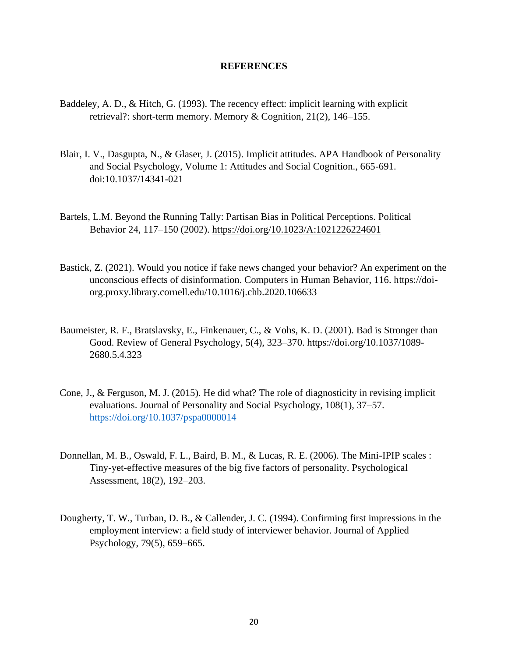## **REFERENCES**

- Baddeley, A. D., & Hitch, G. (1993). The recency effect: implicit learning with explicit retrieval?: short-term memory. Memory & Cognition, 21(2), 146–155.
- Blair, I. V., Dasgupta, N., & Glaser, J. (2015). Implicit attitudes. APA Handbook of Personality and Social Psychology, Volume 1: Attitudes and Social Cognition., 665-691. doi:10.1037/14341-021
- Bartels, L.M. Beyond the Running Tally: Partisan Bias in Political Perceptions. Political Behavior 24, 117–150 (2002).<https://doi.org/10.1023/A:1021226224601>
- Bastick, Z. (2021). Would you notice if fake news changed your behavior? An experiment on the unconscious effects of disinformation. Computers in Human Behavior, 116. https://doiorg.proxy.library.cornell.edu/10.1016/j.chb.2020.106633
- Baumeister, R. F., Bratslavsky, E., Finkenauer, C., & Vohs, K. D. (2001). Bad is Stronger than Good. Review of General Psychology, 5(4), 323–370. https://doi.org/10.1037/1089- 2680.5.4.323
- Cone, J., & Ferguson, M. J. (2015). He did what? The role of diagnosticity in revising implicit evaluations. Journal of Personality and Social Psychology, 108(1), 37–57. <https://doi.org/10.1037/pspa0000014>
- Donnellan, M. B., Oswald, F. L., Baird, B. M., & Lucas, R. E. (2006). The Mini-IPIP scales : Tiny-yet-effective measures of the big five factors of personality. Psychological Assessment, 18(2), 192–203.
- Dougherty, T. W., Turban, D. B., & Callender, J. C. (1994). Confirming first impressions in the employment interview: a field study of interviewer behavior. Journal of Applied Psychology, 79(5), 659–665.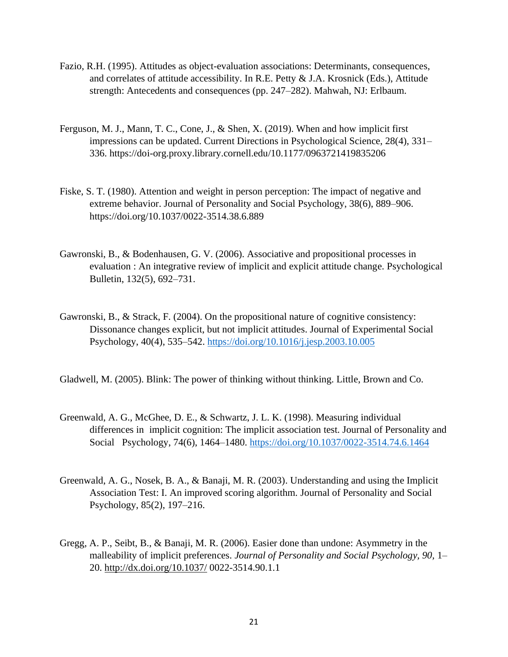- Fazio, R.H. (1995). Attitudes as object-evaluation associations: Determinants, consequences, and correlates of attitude accessibility. In R.E. Petty & J.A. Krosnick (Eds.), Attitude strength: Antecedents and consequences (pp. 247–282). Mahwah, NJ: Erlbaum.
- Ferguson, M. J., Mann, T. C., Cone, J., & Shen, X. (2019). When and how implicit first impressions can be updated. Current Directions in Psychological Science, 28(4), 331– 336. https://doi-org.proxy.library.cornell.edu/10.1177/0963721419835206
- Fiske, S. T. (1980). Attention and weight in person perception: The impact of negative and extreme behavior. Journal of Personality and Social Psychology, 38(6), 889–906. https://doi.org/10.1037/0022-3514.38.6.889
- Gawronski, B., & Bodenhausen, G. V. (2006). Associative and propositional processes in evaluation : An integrative review of implicit and explicit attitude change. Psychological Bulletin, 132(5), 692–731.
- Gawronski, B., & Strack, F. (2004). On the propositional nature of cognitive consistency: Dissonance changes explicit, but not implicit attitudes. Journal of Experimental Social Psychology, 40(4), 535–542.<https://doi.org/10.1016/j.jesp.2003.10.005>

Gladwell, M. (2005). Blink: The power of thinking without thinking. Little, Brown and Co.

- Greenwald, A. G., McGhee, D. E., & Schwartz, J. L. K. (1998). Measuring individual differences in implicit cognition: The implicit association test. Journal of Personality and Social Psychology, 74(6), 1464–1480.<https://doi.org/10.1037/0022-3514.74.6.1464>
- Greenwald, A. G., Nosek, B. A., & Banaji, M. R. (2003). Understanding and using the Implicit Association Test: I. An improved scoring algorithm. Journal of Personality and Social Psychology, 85(2), 197–216.
- Gregg, A. P., Seibt, B., & Banaji, M. R. (2006). Easier done than undone: Asymmetry in the malleability of implicit preferences. *Journal of Personality and Social Psychology, 90,* 1– 20.<http://dx.doi.org/10.1037/> 0022-3514.90.1.1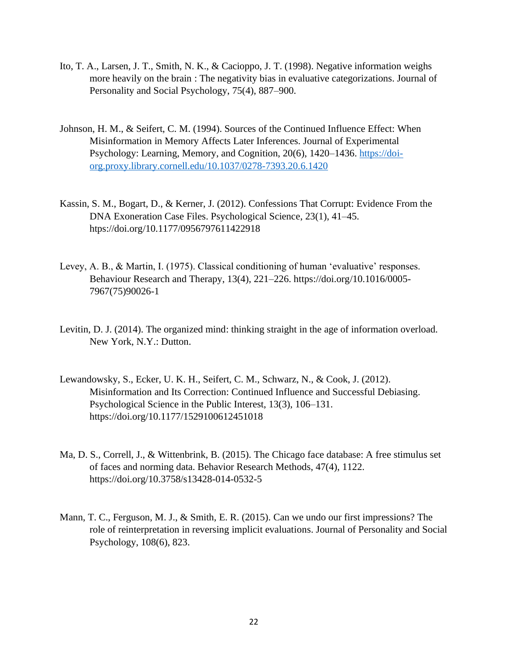- Ito, T. A., Larsen, J. T., Smith, N. K., & Cacioppo, J. T. (1998). Negative information weighs more heavily on the brain : The negativity bias in evaluative categorizations. Journal of Personality and Social Psychology, 75(4), 887–900.
- Johnson, H. M., & Seifert, C. M. (1994). Sources of the Continued Influence Effect: When Misinformation in Memory Affects Later Inferences. Journal of Experimental Psychology: Learning, Memory, and Cognition, 20(6), 1420–1436. [https://doi](https://doi-org.proxy.library.cornell.edu/10.1037/0278-7393.20.6.1420)org.proxy.library.cornell.edu/10.1037/0278-7393.20.6.1420
- Kassin, S. M., Bogart, D., & Kerner, J. (2012). Confessions That Corrupt: Evidence From the DNA Exoneration Case Files. Psychological Science, 23(1), 41–45. htps://doi.org/10.1177/0956797611422918
- Levey, A. B., & Martin, I. (1975). Classical conditioning of human 'evaluative' responses. Behaviour Research and Therapy, 13(4), 221–226. https://doi.org/10.1016/0005- 7967(75)90026-1
- Levitin, D. J. (2014). The organized mind: thinking straight in the age of information overload. New York, N.Y.: Dutton.
- Lewandowsky, S., Ecker, U. K. H., Seifert, C. M., Schwarz, N., & Cook, J. (2012). Misinformation and Its Correction: Continued Influence and Successful Debiasing. Psychological Science in the Public Interest, 13(3), 106–131. https://doi.org/10.1177/1529100612451018
- Ma, D. S., Correll, J., & Wittenbrink, B. (2015). The Chicago face database: A free stimulus set of faces and norming data. Behavior Research Methods, 47(4), 1122. https://doi.org/10.3758/s13428-014-0532-5
- Mann, T. C., Ferguson, M. J., & Smith, E. R. (2015). Can we undo our first impressions? The role of reinterpretation in reversing implicit evaluations. Journal of Personality and Social Psychology, 108(6), 823.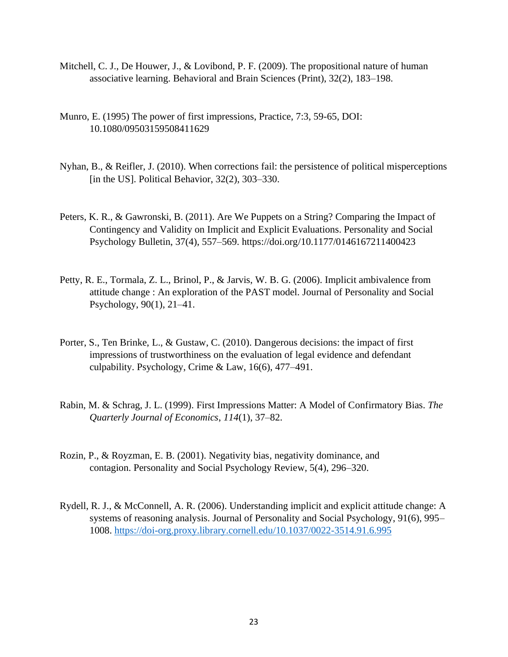- Mitchell, C. J., De Houwer, J., & Lovibond, P. F. (2009). The propositional nature of human associative learning. Behavioral and Brain Sciences (Print), 32(2), 183–198.
- Munro, E. (1995) The power of first impressions, Practice, 7:3, 59-65, DOI: 10.1080/09503159508411629
- Nyhan, B., & Reifler, J. (2010). When corrections fail: the persistence of political misperceptions [in the US]. Political Behavior,  $32(2)$ ,  $303-330$ .
- Peters, K. R., & Gawronski, B. (2011). Are We Puppets on a String? Comparing the Impact of Contingency and Validity on Implicit and Explicit Evaluations. Personality and Social Psychology Bulletin, 37(4), 557–569. https://doi.org/10.1177/0146167211400423
- Petty, R. E., Tormala, Z. L., Brinol, P., & Jarvis, W. B. G. (2006). Implicit ambivalence from attitude change : An exploration of the PAST model. Journal of Personality and Social Psychology, 90(1), 21–41.
- Porter, S., Ten Brinke, L., & Gustaw, C. (2010). Dangerous decisions: the impact of first impressions of trustworthiness on the evaluation of legal evidence and defendant culpability. Psychology, Crime & Law, 16(6), 477–491.
- Rabin, M. & Schrag, J. L. (1999). First Impressions Matter: A Model of Confirmatory Bias. *The Quarterly Journal of Economics*, *114*(1), 37–82.
- Rozin, P., & Royzman, E. B. (2001). Negativity bias, negativity dominance, and contagion. Personality and Social Psychology Review, 5(4), 296–320.
- Rydell, R. J., & McConnell, A. R. (2006). Understanding implicit and explicit attitude change: A systems of reasoning analysis. Journal of Personality and Social Psychology, 91(6), 995– 1008.<https://doi-org.proxy.library.cornell.edu/10.1037/0022-3514.91.6.995>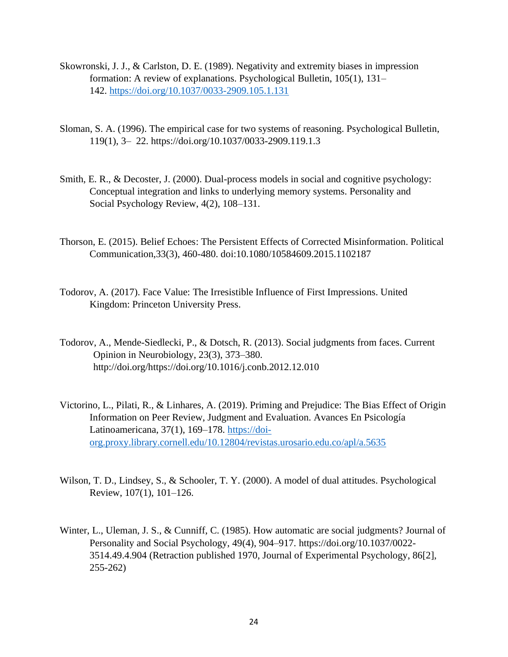- Skowronski, J. J., & Carlston, D. E. (1989). Negativity and extremity biases in impression formation: A review of explanations. Psychological Bulletin, 105(1), 131– 142.<https://doi.org/10.1037/0033-2909.105.1.131>
- Sloman, S. A. (1996). The empirical case for two systems of reasoning. Psychological Bulletin, 119(1), 3– 22. https://doi.org/10.1037/0033-2909.119.1.3
- Smith, E. R., & Decoster, J. (2000). Dual-process models in social and cognitive psychology: Conceptual integration and links to underlying memory systems. Personality and Social Psychology Review, 4(2), 108–131.
- Thorson, E. (2015). Belief Echoes: The Persistent Effects of Corrected Misinformation. Political Communication,33(3), 460-480. doi:10.1080/10584609.2015.1102187
- Todorov, A. (2017). Face Value: The Irresistible Influence of First Impressions. United Kingdom: Princeton University Press.
- Todorov, A., Mende-Siedlecki, P., & Dotsch, R. (2013). Social judgments from faces. Current Opinion in Neurobiology, 23(3), 373–380. http://doi.org/https://doi.org/10.1016/j.conb.2012.12.010
- Victorino, L., Pilati, R., & Linhares, A. (2019). Priming and Prejudice: The Bias Effect of Origin Information on Peer Review, Judgment and Evaluation. Avances En Psicología Latinoamericana, 37(1), 169–178. [https://doi](https://doi-org.proxy.library.cornell.edu/10.12804/revistas.urosario.edu.co/apl/a.5635)org.proxy.library.cornell.edu/10.12804/revistas.urosario.edu.co/apl/a.5635
- Wilson, T. D., Lindsey, S., & Schooler, T. Y. (2000). A model of dual attitudes. Psychological Review, 107(1), 101–126.
- Winter, L., Uleman, J. S., & Cunniff, C. (1985). How automatic are social judgments? Journal of Personality and Social Psychology, 49(4), 904–917. https://doi.org/10.1037/0022- 3514.49.4.904 (Retraction published 1970, Journal of Experimental Psychology, 86[2], 255-262)